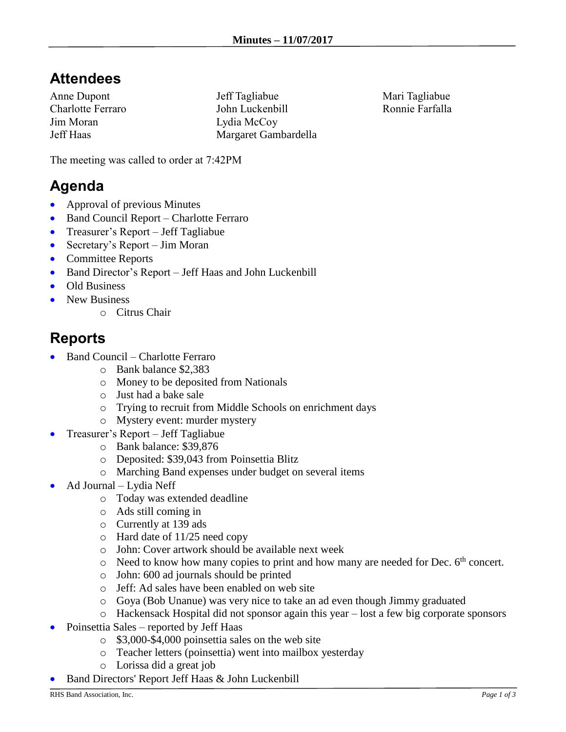## **Attendees**

Anne Dupont Charlotte Ferraro Jim Moran Jeff Haas

Jeff Tagliabue John Luckenbill Lydia McCoy Margaret Gambardella Mari Tagliabue Ronnie Farfalla

The meeting was called to order at 7:42PM

## **Agenda**

- Approval of previous Minutes
- Band Council Report Charlotte Ferraro
- Treasurer's Report Jeff Tagliabue
- Secretary's Report Jim Moran
- Committee Reports
- Band Director's Report Jeff Haas and John Luckenbill
- Old Business
- New Business
	- o Citrus Chair

## **Reports**

- Band Council Charlotte Ferraro
	- o Bank balance \$2,383
	- o Money to be deposited from Nationals
	- o Just had a bake sale
	- o Trying to recruit from Middle Schools on enrichment days
	- o Mystery event: murder mystery
- Treasurer's Report Jeff Tagliabue
	- o Bank balance: \$39,876
	- o Deposited: \$39,043 from Poinsettia Blitz
	- o Marching Band expenses under budget on several items
- Ad Journal Lydia Neff
	- o Today was extended deadline
	- o Ads still coming in
	- o Currently at 139 ads
	- o Hard date of 11/25 need copy
	- o John: Cover artwork should be available next week
	- $\circ$  Need to know how many copies to print and how many are needed for Dec.  $6<sup>th</sup>$  concert.
	- o John: 600 ad journals should be printed
	- o Jeff: Ad sales have been enabled on web site
	- o Goya (Bob Unanue) was very nice to take an ad even though Jimmy graduated
	- o Hackensack Hospital did not sponsor again this year lost a few big corporate sponsors
- Poinsettia Sales reported by Jeff Haas
	- o \$3,000-\$4,000 poinsettia sales on the web site
	- o Teacher letters (poinsettia) went into mailbox yesterday
	- o Lorissa did a great job
- Band Directors' Report Jeff Haas & John Luckenbill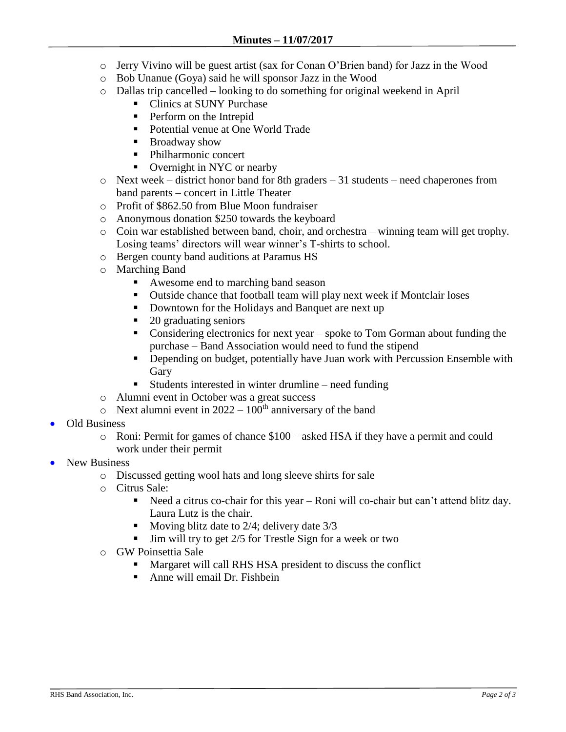- o Jerry Vivino will be guest artist (sax for Conan O'Brien band) for Jazz in the Wood
- o Bob Unanue (Goya) said he will sponsor Jazz in the Wood
- o Dallas trip cancelled looking to do something for original weekend in April
	- Clinics at SUNY Purchase
	- Perform on the Intrepid
	- Potential venue at One World Trade
	- Broadway show
	- Philharmonic concert
	- Overnight in NYC or nearby
- o Next week district honor band for 8th graders 31 students need chaperones from band parents – concert in Little Theater
- o Profit of \$862.50 from Blue Moon fundraiser
- o Anonymous donation \$250 towards the keyboard
- o Coin war established between band, choir, and orchestra winning team will get trophy. Losing teams' directors will wear winner's T-shirts to school.
- o Bergen county band auditions at Paramus HS
- o Marching Band
	- Awesome end to marching band season
	- Outside chance that football team will play next week if Montclair loses
	- Downtown for the Holidays and Banquet are next up
	- 20 graduating seniors
	- Considering electronics for next year spoke to Tom Gorman about funding the purchase – Band Association would need to fund the stipend
	- **•** Depending on budget, potentially have Juan work with Percussion Ensemble with **Gary**
	- Students interested in winter drumline need funding
- o Alumni event in October was a great success
- $\circ$  Next alumni event in 2022 100<sup>th</sup> anniversary of the band
- Old Business
	- o Roni: Permit for games of chance \$100 asked HSA if they have a permit and could work under their permit
- New Business
	- o Discussed getting wool hats and long sleeve shirts for sale
	- o Citrus Sale:
		- Need a citrus co-chair for this year Roni will co-chair but can't attend blitz day. Laura Lutz is the chair.
		- Moving blitz date to 2/4; delivery date 3/3
		- $\blacksquare$  Jim will try to get 2/5 for Trestle Sign for a week or two
	- o GW Poinsettia Sale
		- Margaret will call RHS HSA president to discuss the conflict
		- Anne will email Dr. Fishbein